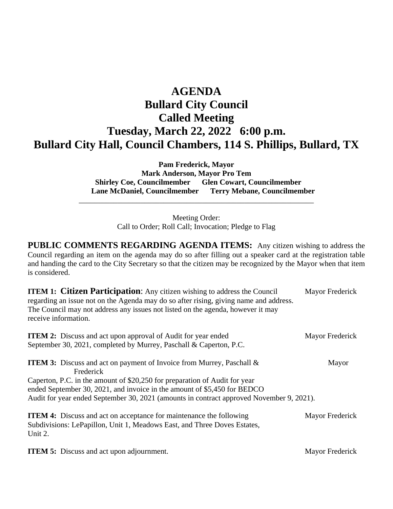## **AGENDA Bullard City Council Called Meeting Tuesday, March 22, 2022 6:00 p.m. Bullard City Hall, Council Chambers, 114 S. Phillips, Bullard, TX**

**Pam Frederick, Mayor Mark Anderson, Mayor Pro Tem Shirley Coe, Councilmember Glen Cowart, Councilmember Lane McDaniel, Councilmember Terry Mebane, Councilmember**

> Meeting Order: Call to Order; Roll Call; Invocation; Pledge to Flag

\_\_\_\_\_\_\_\_\_\_\_\_\_\_\_\_\_\_\_\_\_\_\_\_\_\_\_\_\_\_\_\_\_\_\_\_\_\_\_\_\_\_\_\_\_\_\_\_\_\_\_\_\_\_\_\_\_\_\_\_\_

**PUBLIC COMMENTS REGARDING AGENDA ITEMS:** Any citizen wishing to address the Council regarding an item on the agenda may do so after filling out a speaker card at the registration table and handing the card to the City Secretary so that the citizen may be recognized by the Mayor when that item is considered.

| <b>ITEM 1: Citizen Participation:</b> Any citizen wishing to address the Council<br>regarding an issue not on the Agenda may do so after rising, giving name and address.<br>The Council may not address any issues not listed on the agenda, however it may<br>receive information.                                                            | Mayor Frederick |
|-------------------------------------------------------------------------------------------------------------------------------------------------------------------------------------------------------------------------------------------------------------------------------------------------------------------------------------------------|-----------------|
| <b>ITEM 2:</b> Discuss and act upon approval of Audit for year ended<br>September 30, 2021, completed by Murrey, Paschall & Caperton, P.C.                                                                                                                                                                                                      | Mayor Frederick |
| <b>ITEM 3:</b> Discuss and act on payment of Invoice from Murrey, Paschall &<br>Frederick<br>Caperton, P.C. in the amount of \$20,250 for preparation of Audit for year<br>ended September 30, 2021, and invoice in the amount of \$5,450 for BEDCO<br>Audit for year ended September 30, 2021 (amounts in contract approved November 9, 2021). | Mayor           |
| <b>ITEM 4:</b> Discuss and act on acceptance for maintenance the following<br>Subdivisions: LePapillon, Unit 1, Meadows East, and Three Doves Estates,<br>Unit 2.                                                                                                                                                                               | Mayor Frederick |

**ITEM 5:** Discuss and act upon adjournment. Mayor Frederick